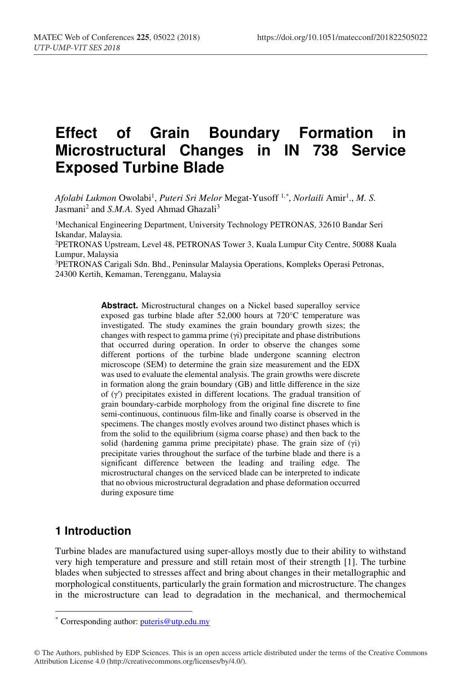# **Effect of Grain Boundary Formation in Microstructural Changes in IN 738 Service Exposed Turbine Blade**

Afolabi *Lukmon* Owolabi<sup>1</sup>, *Puteri Sri Melor* Megat-Yusoff <sup>1,\*</sup>, *Norlaili* Amir<sup>1</sup>., *M*. S. Jasmani<sup>2</sup> and *S.M.A.* Syed Ahmad Ghazali<sup>3</sup>

<sup>1</sup>Mechanical Engineering Department, University Technology PETRONAS, 32610 Bandar Seri Iskandar, Malaysia. 2PETRONAS Upstream, Level 48, PETRONAS Tower 3, Kuala Lumpur City Centre, 50088 Kuala Lumpur, Malaysia 3PETRONAS Carigali Sdn. Bhd., Peninsular Malaysia Operations, Kompleks Operasi Petronas, 24300 Kertih, Kemaman, Terengganu, Malaysia

> **Abstract.** Microstructural changes on a Nickel based superalloy service exposed gas turbine blade after 52,000 hours at 720°C temperature was investigated. The study examines the grain boundary growth sizes; the changes with respect to gamma prime (γi) precipitate and phase distributions that occurred during operation. In order to observe the changes some different portions of the turbine blade undergone scanning electron microscope (SEM) to determine the grain size measurement and the EDX was used to evaluate the elemental analysis. The grain growths were discrete in formation along the grain boundary (GB) and little difference in the size of (γʹ) precipitates existed in different locations. The gradual transition of grain boundary-carbide morphology from the original fine discrete to fine semi-continuous, continuous film-like and finally coarse is observed in the specimens. The changes mostly evolves around two distinct phases which is from the solid to the equilibrium (sigma coarse phase) and then back to the solid (hardening gamma prime precipitate) phase. The grain size of (γi) precipitate varies throughout the surface of the turbine blade and there is a significant difference between the leading and trailing edge. The microstructural changes on the serviced blade can be interpreted to indicate that no obvious microstructural degradation and phase deformation occurred during exposure time

### **1 Introduction**

Turbine blades are manufactured using super-alloys mostly due to their ability to withstand very high temperature and pressure and still retain most of their strength [1]. The turbine blades when subjected to stresses affect and bring about changes in their metallographic and morphological constituents, particularly the grain formation and microstructure. The changes in the microstructure can lead to degradation in the mechanical, and thermochemical

© The Authors, published by EDP Sciences. This is an open access article distributed under the terms of the Creative Commons Attribution License 4.0 (http://creativecommons.org/licenses/by/4.0/).

<sup>\*</sup> Corresponding author: puteris@utp.edu.my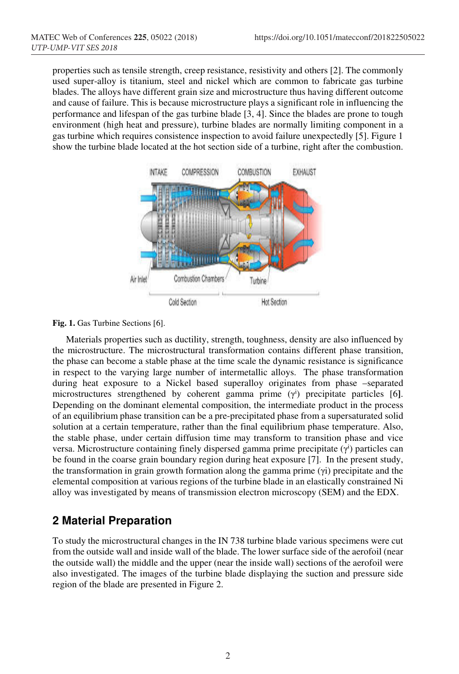properties such as tensile strength, creep resistance, resistivity and others [2]. The commonly used super-alloy is titanium, steel and nickel which are common to fabricate gas turbine blades. The alloys have different grain size and microstructure thus having different outcome and cause of failure. This is because microstructure plays a significant role in influencing the performance and lifespan of the gas turbine blade [3, 4]. Since the blades are prone to tough environment (high heat and pressure), turbine blades are normally limiting component in a gas turbine which requires consistence inspection to avoid failure unexpectedly [5]. Figure 1 show the turbine blade located at the hot section side of a turbine, right after the combustion.



**Fig. 1.** Gas Turbine Sections [6].

Materials properties such as ductility, strength, toughness, density are also influenced by the microstructure. The microstructural transformation contains different phase transition, the phase can become a stable phase at the time scale the dynamic resistance is significance in respect to the varying large number of intermetallic alloys. The phase transformation during heat exposure to a Nickel based superalloy originates from phase –separated microstructures strengthened by coherent gamma prime (γ<sup>i</sup>) precipitate particles [6]. Depending on the dominant elemental composition, the intermediate product in the process of an equilibrium phase transition can be a pre-precipitated phase from a supersaturated solid solution at a certain temperature, rather than the final equilibrium phase temperature. Also, the stable phase, under certain diffusion time may transform to transition phase and vice versa. Microstructure containing finely dispersed gamma prime precipitate (γ<sup>i</sup>) particles can be found in the coarse grain boundary region during heat exposure [7]. In the present study, the transformation in grain growth formation along the gamma prime (γi) precipitate and the elemental composition at various regions of the turbine blade in an elastically constrained Ni alloy was investigated by means of transmission electron microscopy (SEM) and the EDX.

## **2 Material Preparation**

To study the microstructural changes in the IN 738 turbine blade various specimens were cut from the outside wall and inside wall of the blade. The lower surface side of the aerofoil (near the outside wall) the middle and the upper (near the inside wall) sections of the aerofoil were also investigated. The images of the turbine blade displaying the suction and pressure side region of the blade are presented in Figure 2.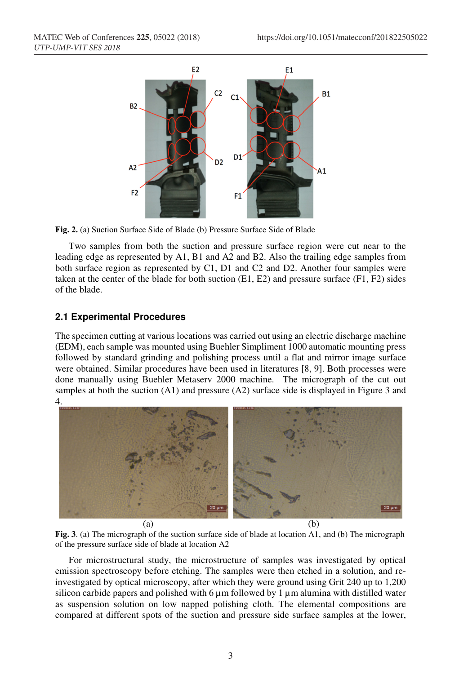

**Fig. 2.** (a) Suction Surface Side of Blade (b) Pressure Surface Side of Blade

Two samples from both the suction and pressure surface region were cut near to the leading edge as represented by A1, B1 and A2 and B2. Also the trailing edge samples from both surface region as represented by C1, D1 and C2 and D2. Another four samples were taken at the center of the blade for both suction  $(E1, E2)$  and pressure surface  $(F1, F2)$  sides of the blade.

### **2.1 Experimental Procedures**

The specimen cutting at various locations was carried out using an electric discharge machine (EDM), each sample was mounted using Buehler Simpliment 1000 automatic mounting press followed by standard grinding and polishing process until a flat and mirror image surface were obtained. Similar procedures have been used in literatures [8, 9]. Both processes were done manually using Buehler Metaserv 2000 machine. The micrograph of the cut out samples at both the suction (A1) and pressure (A2) surface side is displayed in Figure 3 and 4.



**Fig. 3**. (a) The micrograph of the suction surface side of blade at location A1, and (b) The micrograph of the pressure surface side of blade at location A2

For microstructural study, the microstructure of samples was investigated by optical emission spectroscopy before etching. The samples were then etched in a solution, and reinvestigated by optical microscopy, after which they were ground using Grit 240 up to 1,200 silicon carbide papers and polished with  $6 \mu m$  followed by 1  $\mu m$  alumina with distilled water as suspension solution on low napped polishing cloth. The elemental compositions are compared at different spots of the suction and pressure side surface samples at the lower,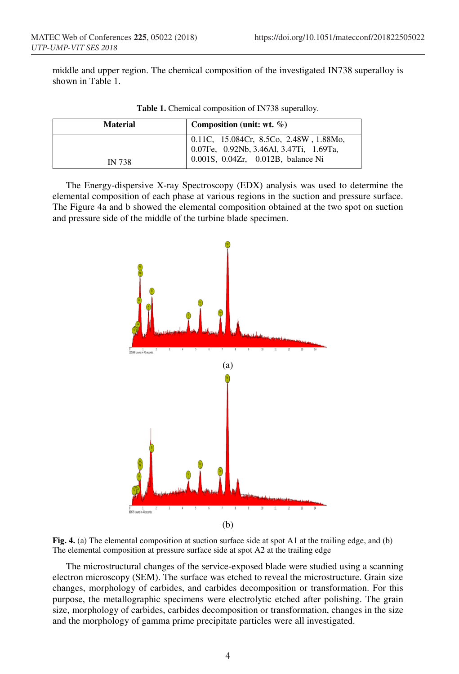middle and upper region. The chemical composition of the investigated IN738 superalloy is shown in Table 1.

| <b>Material</b> | Composition (unit: wt. $\%$ )                                                                                           |
|-----------------|-------------------------------------------------------------------------------------------------------------------------|
| <b>IN 738</b>   | 0.11C, 15.084Cr, 8.5Co, 2.48W, 1.88Mo,<br>0.07Fe, 0.92Nb, 3.46Al, 3.47Ti, 1.69Ta,<br>0.001S, 0.04Zr, 0.012B, balance Ni |

**Table 1.** Chemical composition of IN738 superalloy.

The Energy-dispersive X-ray Spectroscopy (EDX) analysis was used to determine the elemental composition of each phase at various regions in the suction and pressure surface. The Figure 4a and b showed the elemental composition obtained at the two spot on suction and pressure side of the middle of the turbine blade specimen.



**Fig. 4.** (a) The elemental composition at suction surface side at spot A1 at the trailing edge, and (b) The elemental composition at pressure surface side at spot A2 at the trailing edge

The microstructural changes of the service-exposed blade were studied using a scanning electron microscopy (SEM). The surface was etched to reveal the microstructure. Grain size changes, morphology of carbides, and carbides decomposition or transformation. For this purpose, the metallographic specimens were electrolytic etched after polishing. The grain size, morphology of carbides, carbides decomposition or transformation, changes in the size and the morphology of gamma prime precipitate particles were all investigated.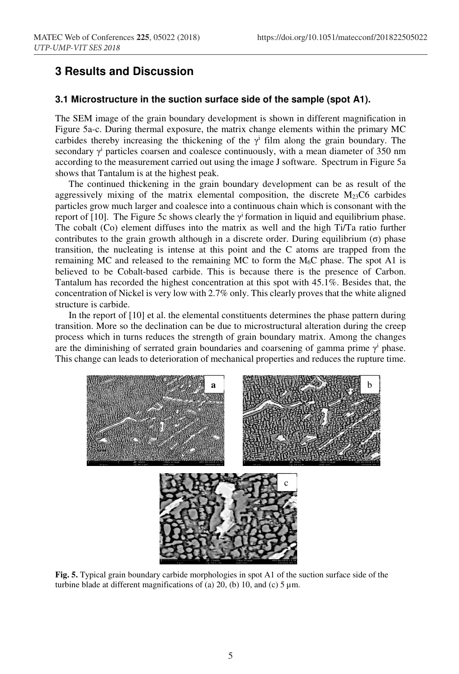### **3 Results and Discussion**

#### **3.1 Microstructure in the suction surface side of the sample (spot A1).**

The SEM image of the grain boundary development is shown in different magnification in Figure 5a-c. During thermal exposure, the matrix change elements within the primary MC carbides thereby increasing the thickening of the  $\gamma^i$  film along the grain boundary. The secondary  $\gamma$ <sup>i</sup> particles coarsen and coalesce continuously, with a mean diameter of 350 nm according to the measurement carried out using the image J software. Spectrum in Figure 5a shows that Tantalum is at the highest peak.

The continued thickening in the grain boundary development can be as result of the aggressively mixing of the matrix elemental composition, the discrete  $M_{23}C6$  carbides particles grow much larger and coalesce into a continuous chain which is consonant with the report of [10]. The Figure 5c shows clearly the  $\gamma^i$  formation in liquid and equilibrium phase. The cobalt (Co) element diffuses into the matrix as well and the high Ti/Ta ratio further contributes to the grain growth although in a discrete order. During equilibrium  $(\sigma)$  phase transition, the nucleating is intense at this point and the C atoms are trapped from the remaining MC and released to the remaining MC to form the  $M_6C$  phase. The spot A1 is believed to be Cobalt-based carbide. This is because there is the presence of Carbon. Tantalum has recorded the highest concentration at this spot with 45.1%. Besides that, the concentration of Nickel is very low with 2.7% only. This clearly proves that the white aligned structure is carbide.

In the report of [10] et al. the elemental constituents determines the phase pattern during transition. More so the declination can be due to microstructural alteration during the creep process which in turns reduces the strength of grain boundary matrix. Among the changes are the diminishing of serrated grain boundaries and coarsening of gamma prime  $\gamma^i$  phase. This change can leads to deterioration of mechanical properties and reduces the rupture time.



**Fig. 5.** Typical grain boundary carbide morphologies in spot A1 of the suction surface side of the turbine blade at different magnifications of (a) 20, (b) 10, and (c)  $5 \mu m$ .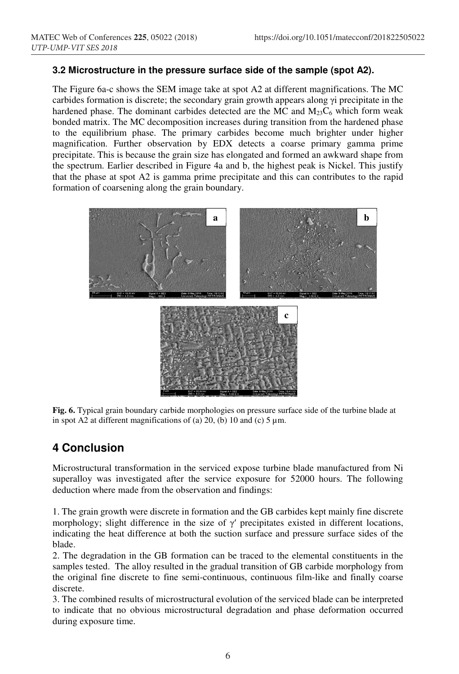### **3.2 Microstructure in the pressure surface side of the sample (spot A2).**

The Figure 6a-c shows the SEM image take at spot A2 at different magnifications. The MC carbides formation is discrete; the secondary grain growth appears along γi precipitate in the hardened phase. The dominant carbides detected are the MC and  $M_{23}C_6$  which form weak bonded matrix. The MC decomposition increases during transition from the hardened phase to the equilibrium phase. The primary carbides become much brighter under higher magnification. Further observation by EDX detects a coarse primary gamma prime precipitate. This is because the grain size has elongated and formed an awkward shape from the spectrum. Earlier described in Figure 4a and b, the highest peak is Nickel. This justify that the phase at spot A2 is gamma prime precipitate and this can contributes to the rapid formation of coarsening along the grain boundary.



**Fig. 6.** Typical grain boundary carbide morphologies on pressure surface side of the turbine blade at in spot A2 at different magnifications of (a) 20, (b) 10 and (c)  $5 \mu m$ .

### **4 Conclusion**

Microstructural transformation in the serviced expose turbine blade manufactured from Ni superalloy was investigated after the service exposure for 52000 hours. The following deduction where made from the observation and findings:

1. The grain growth were discrete in formation and the GB carbides kept mainly fine discrete morphology; slight difference in the size of  $\gamma'$  precipitates existed in different locations, indicating the heat difference at both the suction surface and pressure surface sides of the blade.

2. The degradation in the GB formation can be traced to the elemental constituents in the samples tested. The alloy resulted in the gradual transition of GB carbide morphology from the original fine discrete to fine semi-continuous, continuous film-like and finally coarse discrete.

3. The combined results of microstructural evolution of the serviced blade can be interpreted to indicate that no obvious microstructural degradation and phase deformation occurred during exposure time.